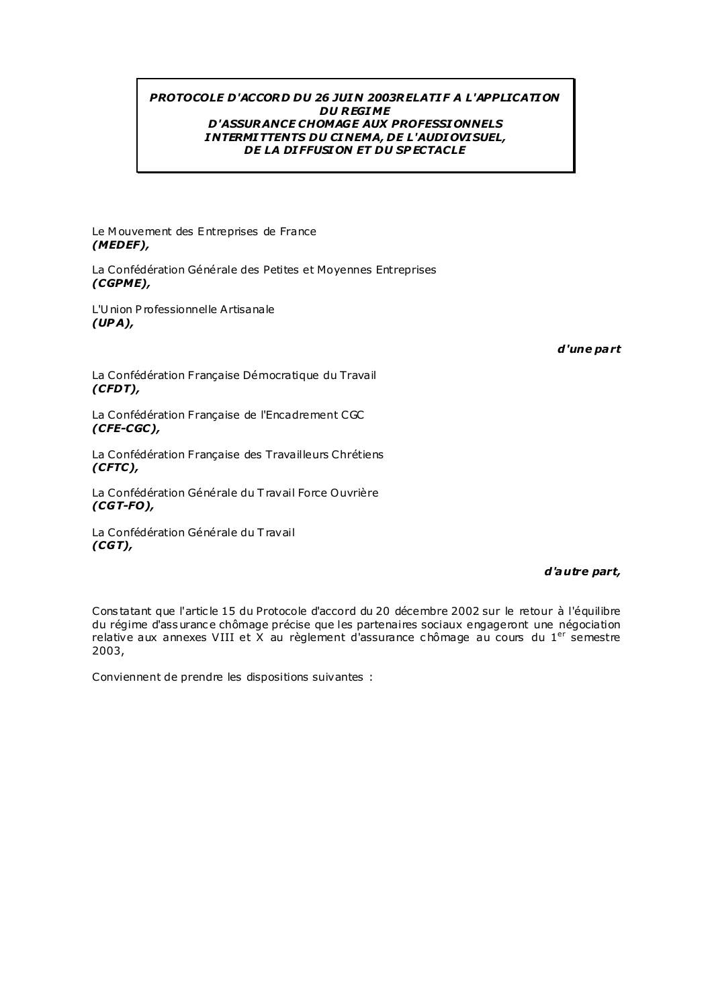# PROTOCOLE D'ACCORD DU 26 JUIN 2003RELATIF A L'APPLICATION **DU REGIME D'ASSURANCE CHOMAGE AUX PROFESSIONNELS INTERMITTENTS DU CINEMA, DE L'AUDIOVISUEL,** DE LA DIFFUSION ET DU SPECTACLE

Le Mouvement des Entreprises de France  $(MEDEF)$ ,

La Confédération Générale des Petites et Movennes Entreprises  $(CG P M E)$ ,

L'Union Professionnelle Artisanale  $(UPA)$ ,

d'une part

La Confédération Française Démocratique du Travail  $(CFDT)$ ,

La Confédération Française de l'Encadrement CGC (CFE-CGC),

La Confédération Française des Travailleurs Chrétiens  $(CFTC)$ 

La Confédération Générale du Travail Force Ouvrière  $(CGT-FO)$ ,

La Confédération Générale du Travail  $(CGT)$ ,

#### d'autre part,

Constatant que l'article 15 du Protocole d'accord du 20 décembre 2002 sur le retour à l'équilibre du régime d'assurance chômage précise que les partenaires sociaux engageront une négociation relative aux annexes VIII et X au règlement d'assurance chômage au cours du 1<sup>er</sup> semestre 2003,

Conviennent de prendre les dispositions suivantes :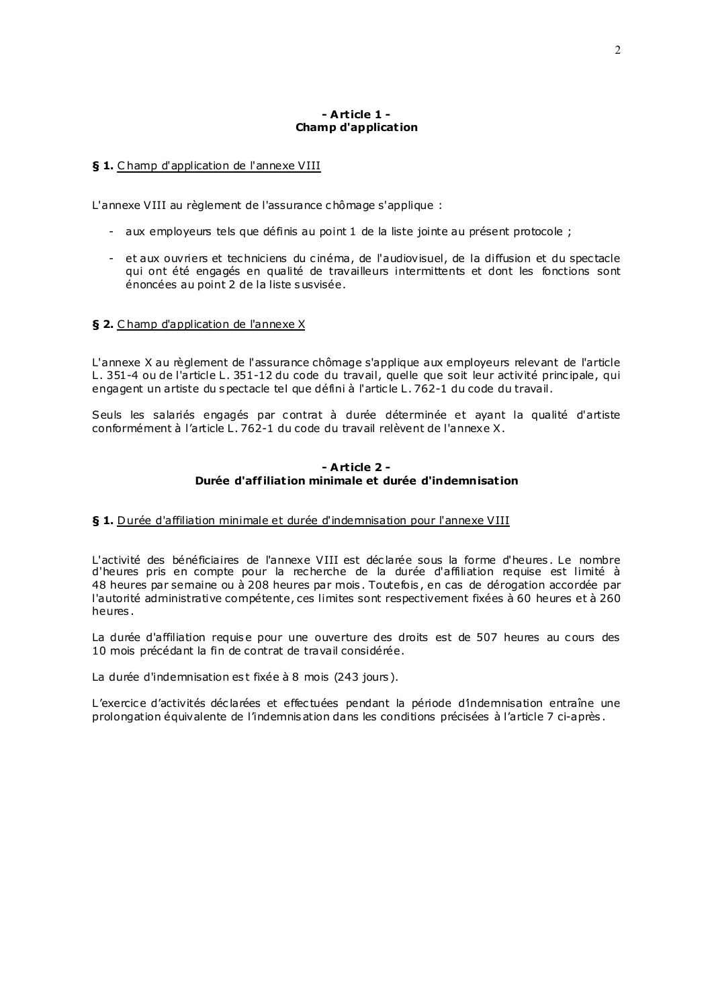# - Article 1 -**Champ d'application**

# § 1. Champ d'application de l'annexe VIII

L'annexe VIII au règlement de l'assurance chômage s'applique :

- aux employeurs tels que définis au point 1 de la liste jointe au présent protocole ;
- et aux ouvriers et techniciens du cinéma, de l'audiovisuel, de la diffusion et du spectacle qui ont été engagés en qualité de travailleurs intermittents et dont les fonctions sont énoncées au point 2 de la liste susvisée.

# § 2. Champ d'application de l'annexe X

L'annexe X au règlement de l'assurance chômage s'applique aux employeurs relevant de l'article L. 351-4 ou de l'article L. 351-12 du code du travail, quelle que soit leur activité principale, qui engagent un artiste du spectacle tel que défini à l'article L. 762-1 du code du travail.

Seuls les salariés engagés par contrat à durée déterminée et ayant la qualité d'artiste conformément à l'article L. 762-1 du code du travail relèvent de l'annexe X.

# - Article 2 -Durée d'affiliation minimale et durée d'indemnisation

#### § 1. Durée d'affiliation minimale et durée d'indemnisation pour l'annexe VIII

L'activité des bénéficiaires de l'annexe VIII est déclarée sous la forme d'heures. Le nombre d'heures pris en compte pour la recherche de la durée d'affiliation requise est limité à 48 heures par semaine ou à 208 heures par mois. Toutefois, en cas de dérogation accordée par l'autorité administrative compétente, ces limites sont respectivement fixées à 60 heures et à 260 heures.

La durée d'affiliation requise pour une ouverture des droits est de 507 heures au cours des 10 mois précédant la fin de contrat de travail considérée.

La durée d'indemnisation est fixée à 8 mois (243 jours).

L'exercice d'activités déclarées et effectuées pendant la période d'indemnisation entraîne une prolongation équivalente de l'indemnisation dans les conditions précisées à l'article 7 ci-après.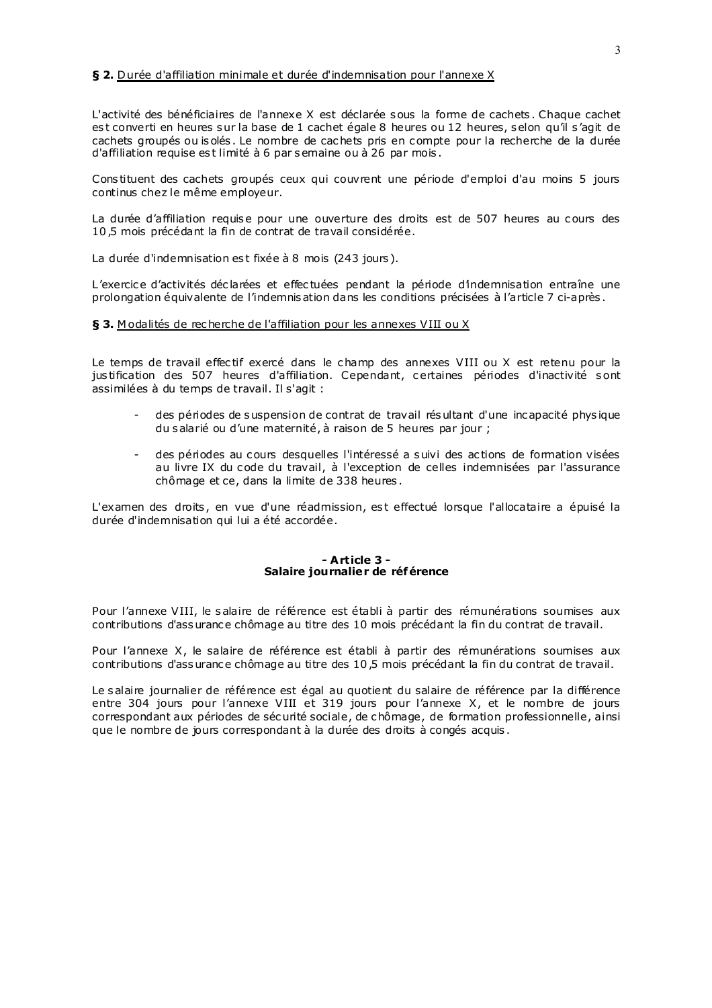### § 2. Durée d'affiliation minimale et durée d'indemnisation pour l'annexe X

L'activité des bénéficiaires de l'annexe X est déclarée sous la forme de cachets. Chaque cachet est converti en heures sur la base de 1 cachet égale 8 heures ou 12 heures, selon qu'il s'agit de cachets groupés ou isolés. Le nombre de cachets pris en compte pour la recherche de la durée d'affiliation requise est limité à 6 par semaine ou à 26 par mois.

Constituent des cachets groupés ceux qui couvrent une période d'emploi d'au moins 5 jours continus chez le même employeur.

La durée d'affiliation requise pour une ouverture des droits est de 507 heures au cours des 10,5 mois précédant la fin de contrat de travail considérée.

La durée d'indemnisation est fixée à 8 mois (243 jours).

L'exercice d'activités déclarées et effectuées pendant la période d'indemnisation entraîne une prolongation équivalente de l'indemnisation dans les conditions précisées à l'article 7 ci-après.

# § 3. Modalités de recherche de l'affiliation pour les annexes VIII ou X

Le temps de travail effectif exercé dans le champ des annexes VIII ou X est retenu pour la justification des 507 heures d'affiliation. Cependant, certaines périodes d'inactivité sont assimilées à du temps de travail. Il s'agit :

- des périodes de suspension de contrat de travail résultant d'une incapacité physique du salarié ou d'une maternité, à raison de 5 heures par jour ;
- des périodes au cours desquelles l'intéressé a suivi des actions de formation visées au livre IX du code du travail, à l'exception de celles indemnisées par l'assurance chômage et ce, dans la limite de 338 heures.

L'examen des droits, en vue d'une réadmission, est effectué lorsque l'allocataire a épuisé la durée d'indemnisation qui lui a été accordée.

#### - Article 3 -Salaire journalier de référence

Pour l'annexe VIII, le salaire de référence est établi à partir des rémunérations soumises aux contributions d'assurance chômage au titre des 10 mois précédant la fin du contrat de travail.

Pour l'annexe X, le salaire de référence est établi à partir des rémunérations soumises aux contributions d'assurance chômage au titre des 10,5 mois précédant la fin du contrat de travail.

Le salaire journalier de référence est égal au quotient du salaire de référence par la différence entre 304 jours pour l'annexe VIII et 319 jours pour l'annexe X, et le nombre de jours correspondant aux périodes de sécurité sociale, de chômage, de formation professionnelle, ainsi que le nombre de jours correspondant à la durée des droits à congés acquis.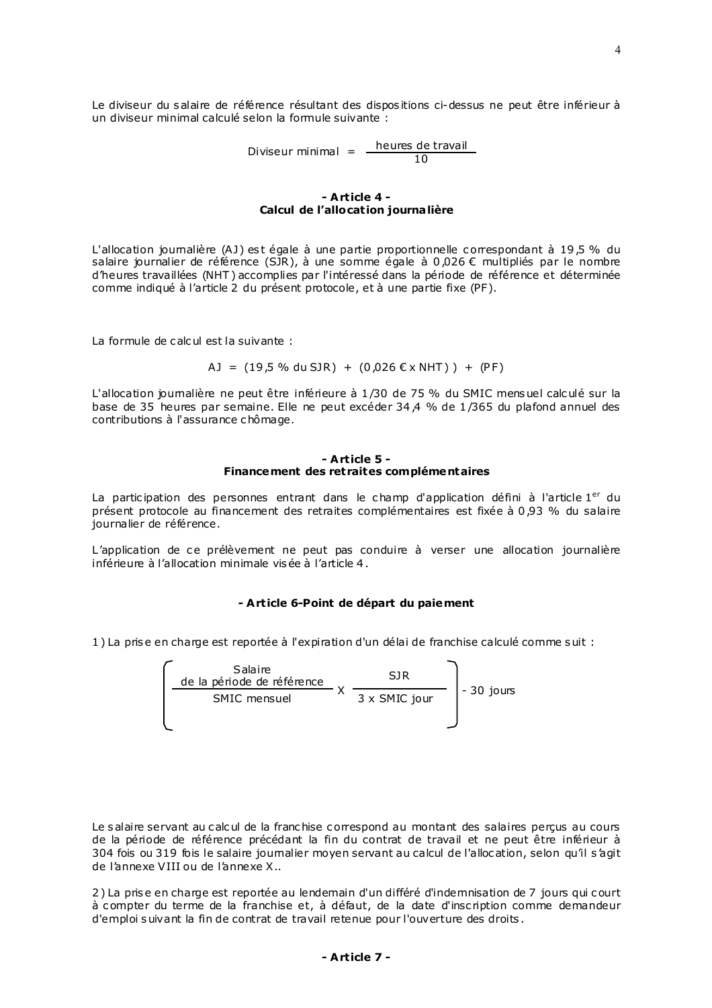Le diviseur du salaire de référence résultant des dispositions ci-dessus ne peut être inférieur à un diviseur minimal calculé selon la formule suivante :

Diviseur minimal 
$$
=
$$
  $\frac{\text{heures de travail}}{10}$ 

### - Article 4 -Calcul de l'allocation journalière

L'allocation joumalière (AJ) est égale à une partie proportionnelle correspondant à 19,5 % du salaire journalier de référence (SJR), à une somme égale à 0,026 € multipliés par le nombre d'heures travaillées (NHT) accomplies par l'intéressé dans la période de référence et déterminée comme indiqué à l'article 2 du présent protocole, et à une partie fixe (PF).

La formule de calcul est la suivante :

AJ =  $(19.5 % du SJR) + (0.026 EX NHT)) + (PF)$ 

L'allocation journalière ne peut être inférieure à 1/30 de 75 % du SMIC mensuel calculé sur la base de 35 heures par semaine. Elle ne peut excéder 34.4 % de 1/365 du plafond annuel des contributions à l'assurance chômage.

#### - Article 5 -Finance ment des retraites complémentaires

La participation des personnes entrant dans le champ d'application défini à l'article 1<sup>er</sup> du présent protocole au financement des retraites complémentaires est fixée à 0,93 % du salaire journalier de référence.

L'application de ce prélèvement ne peut pas conduire à verser une allocation journalière inférieure à l'allocation minimale visée à l'article 4.

# - Article 6-Point de départ du paiement

1) La prise en charge est reportée à l'expiration d'un délai de franchise calculé comme suit :

| Salaire<br>de la période de référence | SIR           |             |
|---------------------------------------|---------------|-------------|
| SMIC mensuel                          | 3 x SMIC jour | $-30$ jours |
|                                       |               |             |

Le salaire servant au calcul de la franchise correspond au montant des salaires perçus au cours de la période de référence précédant la fin du contrat de travail et ne peut être inférieur à 304 fois ou 319 fois le salaire journalier moyen servant au calcul de l'allocation, selon qu'il s'agit de l'annexe VIII ou de l'annexe X..

2) La prise en charge est reportée au lendemain d'un différé d'indemnisation de 7 jours qui court à compter du terme de la franchise et, à défaut, de la date d'inscription comme demandeur d'emploi suivant la fin de contrat de travail retenue pour l'ouverture des droits.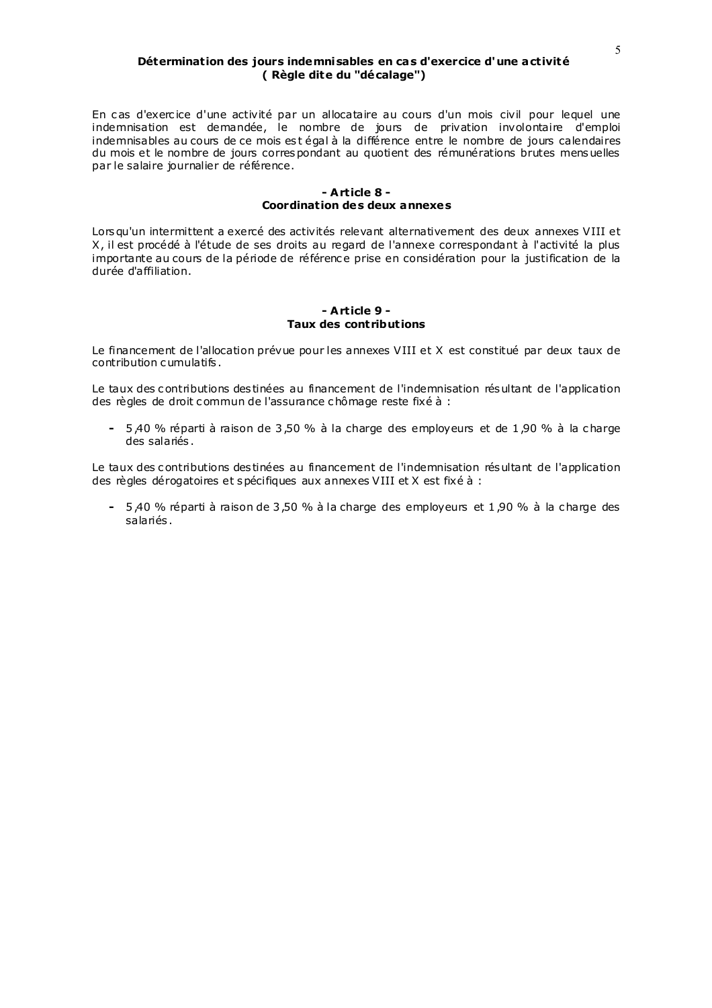### Détermination des jours indemnisables en cas d'exercice d'une activité (Règle dite du "décalage")

En cas d'exercice d'une activité par un allocataire au cours d'un mois civil pour lequel une indemnisation est demandée, le nombre de jours de privation involontaire d'emploi indemnisables au cours de ce mois est égal à la différence entre le nombre de jours calendaires du mois et le nombre de jours correspondant au quotient des rémunérations brutes mensuelles par le salaire journalier de référence.

### - Article 8 -Coordination des deux annexes

Lors qu'un intermittent a exercé des activités relevant alternativement des deux annexes VIII et X, il est procédé à l'étude de ses droits au regard de l'annexe correspondant à l'activité la plus importante au cours de la période de référence prise en considération pour la justification de la durée d'affiliation.

#### $-$  Article 9 -**Taux des contributions**

Le financement de l'allocation prévue pour les annexes VIII et X est constitué par deux taux de contribution cumulatifs.

Le taux des contributions des tinées au financement de l'indemnisation résultant de l'application des règles de droit commun de l'assurance chômage reste fixé à :

- 5.40 % réparti à raison de 3.50 % à la charge des employeurs et de 1.90 % à la charge des salariés.

Le taux des contributions des tinées au financement de l'indemnisation résultant de l'application des règles dérogatoires et spécifiques aux annexes VIII et X est fixé à :

- 5.40 % réparti à raison de 3,50 % à la charge des employeurs et 1,90 % à la charge des salariés.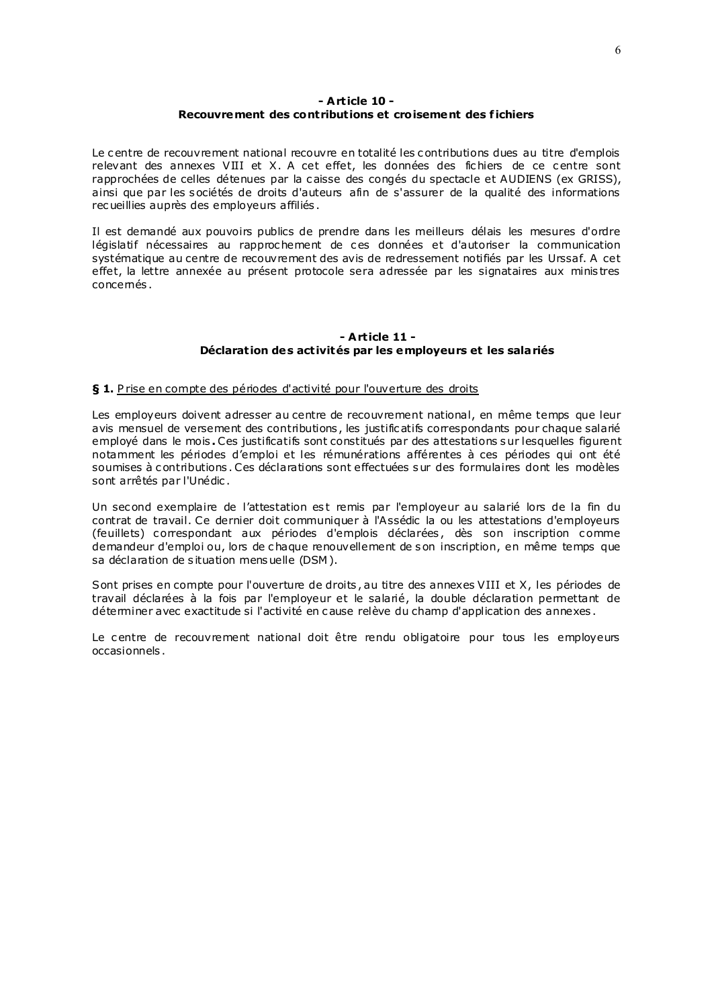# $-$  Article 10 -Recouvrement des contributions et croisement des fichiers

Le centre de recouvrement national recouvre en totalité les contributions dues au titre d'emplois relevant des annexes VIII et X. A cet effet, les données des fichiers de ce centre sont rapprochées de celles détenues par la caisse des congés du spectacle et AUDIENS (ex GRISS), ainsi que par les sociétés de droits d'auteurs afin de s'assurer de la qualité des informations recueillies auprès des employeurs affiliés.

Il est demandé aux pouvoirs publics de prendre dans les meilleurs délais les mesures d'ordre législatif nécessaires au rapprochement de ces données et d'autoriser la communication systématique au centre de recouvrement des avis de redressement notifiés par les Urssaf. A cet effet, la lettre annexée au présent protocole sera adressée par les signataires aux ministres concemés.

# - Article  $11 -$ Déclaration des activités par les employeurs et les salariés

# § 1. Prise en compte des périodes d'activité pour l'ouverture des droits

Les employeurs doivent adresser au centre de recouvrement national, en même temps que leur avis mensuel de versement des contributions, les justificatifs correspondants pour chaque salarié employé dans le mois. Ces justificatifs sont constitués par des attestations sur lesquelles figurent notamment les périodes d'emploi et les rémunérations afférentes à ces périodes qui ont été soumises à contributions. Ces déclarations sont effectuées sur des formulaires dont les modèles sont arrêtés par l'Unédic.

Un second exemplaire de l'attestation est remis par l'employeur au salarié lors de la fin du contrat de travail. Ce dernier doit communiquer à l'Assédic la ou les attestations d'employeurs (feuillets) correspondant aux périodes d'emplois déclarées, dès son inscription comme demandeur d'emploi ou, lors de chaque renouvellement de son inscription, en même temps que sa déclaration de situation mensuelle (DSM).

Sont prises en compte pour l'ouverture de droits, au titre des annexes VIII et X, les périodes de travail déclarées à la fois par l'employeur et le salarié, la double déclaration permettant de déterminer avec exactitude si l'activité en cause relève du champ d'application des annexes.

Le centre de recouvrement national doit être rendu obligatoire pour tous les employeurs occasionnels.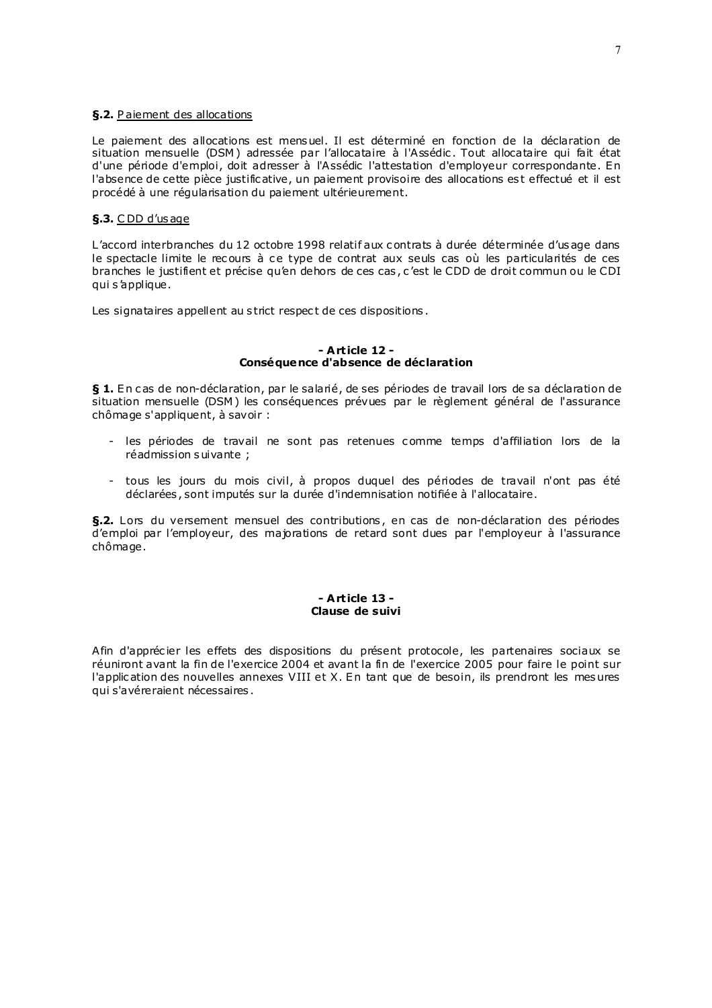### §.2. Paiement des allocations

Le paiement des allocations est mensuel. Il est déterminé en fonction de la déclaration de situation mensuelle (DSM) adressée par l'allocataire à l'Assédic. Tout allocataire qui fait état d'une période d'emploi, doit adresser à l'Assédic l'attestation d'employeur correspondante. En l'absence de cette pièce justificative, un paiement provisoire des allocations est effectué et il est procédé à une régularisation du paiement ultérieurement.

# §.3. CDD d'us age

L'accord interbranches du 12 octobre 1998 relatif aux contrats à durée déterminée d'usage dans le spectacle limite le recours à ce type de contrat aux seuls cas où les particularités de ces branches le justifient et précise qu'en dehors de ces cas, c'est le CDD de droit commun ou le CDI qui s'applique.

Les signataires appellent au strict respect de ces dispositions.

#### - Article 12 -Conséquence d'absence de déclaration

§ 1. En cas de non-déclaration, par le salarié, de ses périodes de travail lors de sa déclaration de situation mensuelle (DSM) les conséquences prévues par le règlement général de l'assurance chômage s'appliquent, à savoir :

- les périodes de travail ne sont pas retenues comme temps d'affiliation lors de la réadmission suivante ;
- tous les jours du mois civil, à propos duquel des périodes de travail n'ont pas été déclarées, sont imputés sur la durée d'indemnisation notifiée à l'allocataire.

§.2. Lors du versement mensuel des contributions, en cas de non-déclaration des périodes d'emploi par l'employeur, des majorations de retard sont dues par l'employeur à l'assurance chômage.

#### - Article 13 -Clause de suivi

Afin d'apprécier les effets des dispositions du présent protocole, les partenaires sociaux se réuniront avant la fin de l'exercice 2004 et avant la fin de l'exercice 2005 pour faire le point sur l'application des nouvelles annexes VIII et X. En tant que de besoin, ils prendront les mesures qui s'avéreraient nécessaires.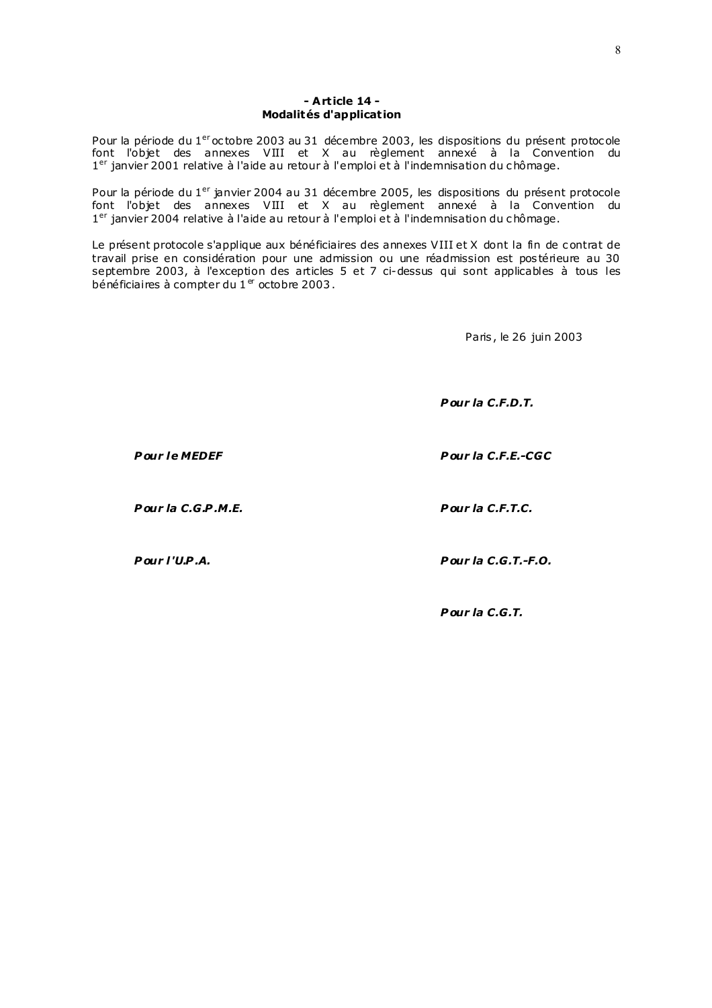### - Article 14 -Modalités d'application

Pour la période du 1<sup>er</sup> octobre 2003 au 31 décembre 2003, les dispositions du présent protocole from la periode du 1 de tobre 2009 du 91 decembre 2009, les dispositions du présent protocole<br>font l'objet des annexes VIII et X au règlement annexé à la Convention du<br>1<sup>er</sup> janvier 2001 relative à l'aide au retour à l'emp

Pour la période du 1<sup>er</sup> janvier 2004 au 31 décembre 2005, les dispositions du présent protocole font l'objet des annexes VIII et X au règlement annexé à la Convention du 1<sup>er</sup> janvier 2004 relative à l'aide au retour à l'emploi et à l'indemnisation du chômage.

Le présent protocole s'applique aux bénéficiaires des annexes VIII et X dont la fin de contrat de travail prise en considération pour une admission ou une réadmission est postérieure au 30 septembre 2003, à l'exception des articles 5 et 7 ci-dessus qui sont applicables à tous les bénéficiaires à compter du 1<sup>er</sup> octobre 2003.

Paris, le 26 juin 2003

Pour la C.F.D.T.

Pour la C.F.E.-CGC

**Pour le MEDEF** 

Pour la C.G.P.M.E.

Pour la C.F.T.C.

Pour l'U.P.A.

Pour la C.G.T.-F.O.

Pour la  $C.G.T.$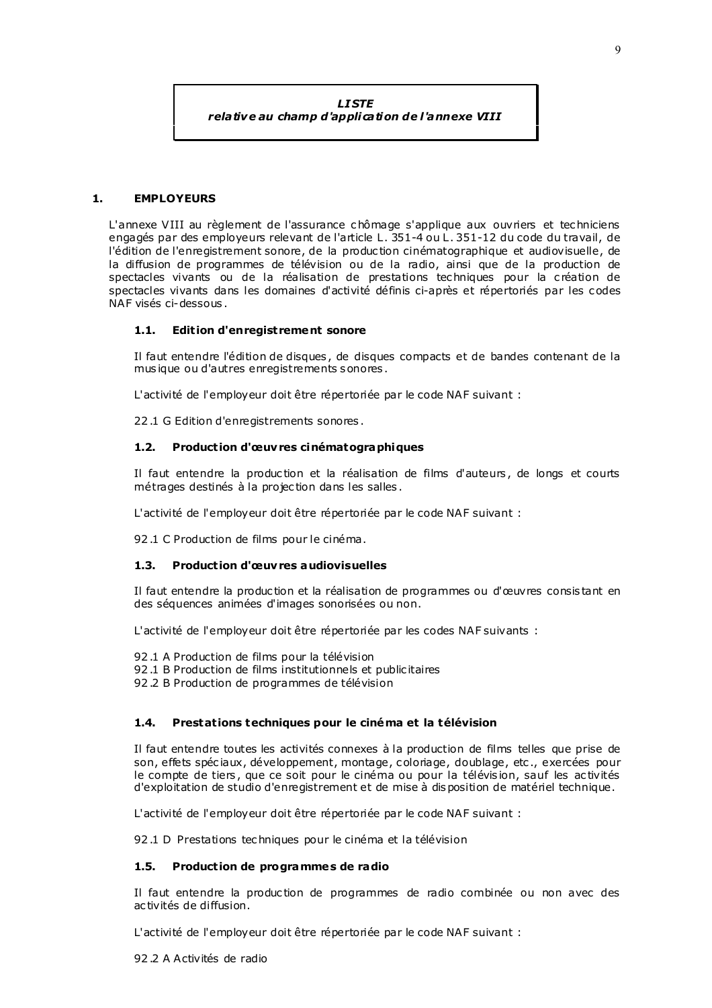**LISTE** 

relative au champ d'application de l'annexe VIII

#### $\mathbf{1}$ . **EMPLOYEURS**

L'annexe VIII au règlement de l'assurance chômage s'applique aux ouvriers et techniciens engagés par des employeurs relevant de l'article L. 351-4 ou L. 351-12 du code du travail, de l'édition de l'enregistrement sonore, de la production cinématographique et audiovisuelle, de la diffusion de programmes de télévision ou de la radio, ainsi que de la production de spectacles vivants ou de la réalisation de prestations techniques pour la création de spectacles vivants dans les domaines d'activité définis ci-après et répertoriés par les codes NAF visés ci-dessous.

#### $1.1.$ **Edition d'enregistrement sonore**

Il faut entendre l'édition de disques, de disques compacts et de bandes contenant de la musique ou d'autres enregistrements sonores.

L'activité de l'employeur doit être répertoriée par le code NAF suivant :

22.1 G Edition d'enregistrements sonores.

#### $1.2.$ Production d'œuvres cinématographiques

Il faut entendre la production et la réalisation de films d'auteurs, de longs et courts métrages destinés à la projection dans les salles.

L'activité de l'employeur doit être répertoriée par le code NAF suivant :

92.1 C Production de films pour le cinéma.

#### **Production d'œuvres audiovisuelles**  $1.3$

Il faut entendre la production et la réalisation de programmes ou d'œuvres consistant en des séquences animées d'images sonorisées ou non.

L'activité de l'employeur doit être répertoniée par les codes NAF suivants :

- 92.1 A Production de films pour la télévision
- 92.1 B Production de films institutionnels et publicitaires
- 92.2 B Production de programmes de télévision

#### $1.4.$ Prestations techniques pour le cinéma et la télévision

Il faut entendre toutes les activités connexes à la production de films telles que prise de son, effets spéciaux, développement, montage, coloriage, doublage, etc., exercées pour le compte de tiers, que ce soit pour le cinéma ou pour la télévision, sauf les activités d'exploitation de studio d'enregistrement et de mise à disposition de matériel technique.

L'activité de l'employeur doit être répertoriée par le code NAF suivant :

92.1 D Prestations techniques pour le cinéma et la télévision

#### Production de programmes de radio  $1.5.$

Il faut entendre la production de programmes de radio combinée ou non avec des activités de diffusion.

L'activité de l'employeur doit être répertoriée par le code NAF suivant :

92.2 A Activités de radio